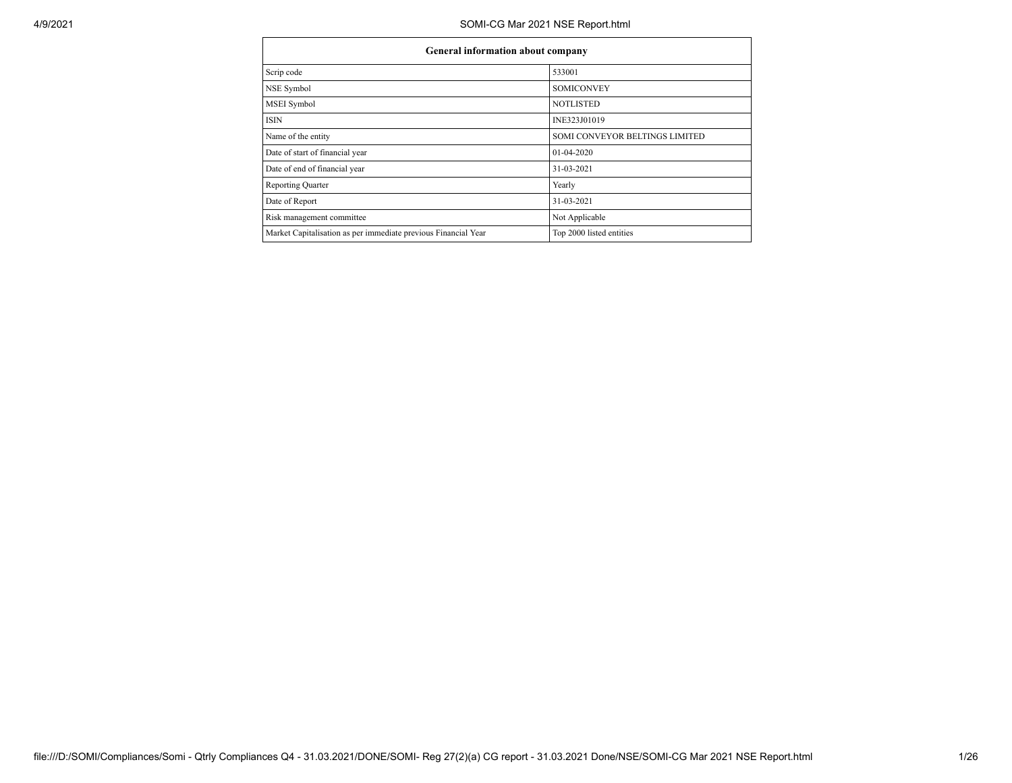| General information about company                              |                                |  |  |  |  |  |  |  |  |
|----------------------------------------------------------------|--------------------------------|--|--|--|--|--|--|--|--|
| Scrip code                                                     | 533001                         |  |  |  |  |  |  |  |  |
| NSE Symbol                                                     | <b>SOMICONVEY</b>              |  |  |  |  |  |  |  |  |
| MSEI Symbol                                                    | <b>NOTLISTED</b>               |  |  |  |  |  |  |  |  |
| <b>ISIN</b>                                                    | INE323J01019                   |  |  |  |  |  |  |  |  |
| Name of the entity                                             | SOMI CONVEYOR BELTINGS LIMITED |  |  |  |  |  |  |  |  |
| Date of start of financial year                                | 01-04-2020                     |  |  |  |  |  |  |  |  |
| Date of end of financial year                                  | 31-03-2021                     |  |  |  |  |  |  |  |  |
| <b>Reporting Quarter</b>                                       | Yearly                         |  |  |  |  |  |  |  |  |
| Date of Report                                                 | 31-03-2021                     |  |  |  |  |  |  |  |  |
| Risk management committee                                      | Not Applicable                 |  |  |  |  |  |  |  |  |
| Market Capitalisation as per immediate previous Financial Year | Top 2000 listed entities       |  |  |  |  |  |  |  |  |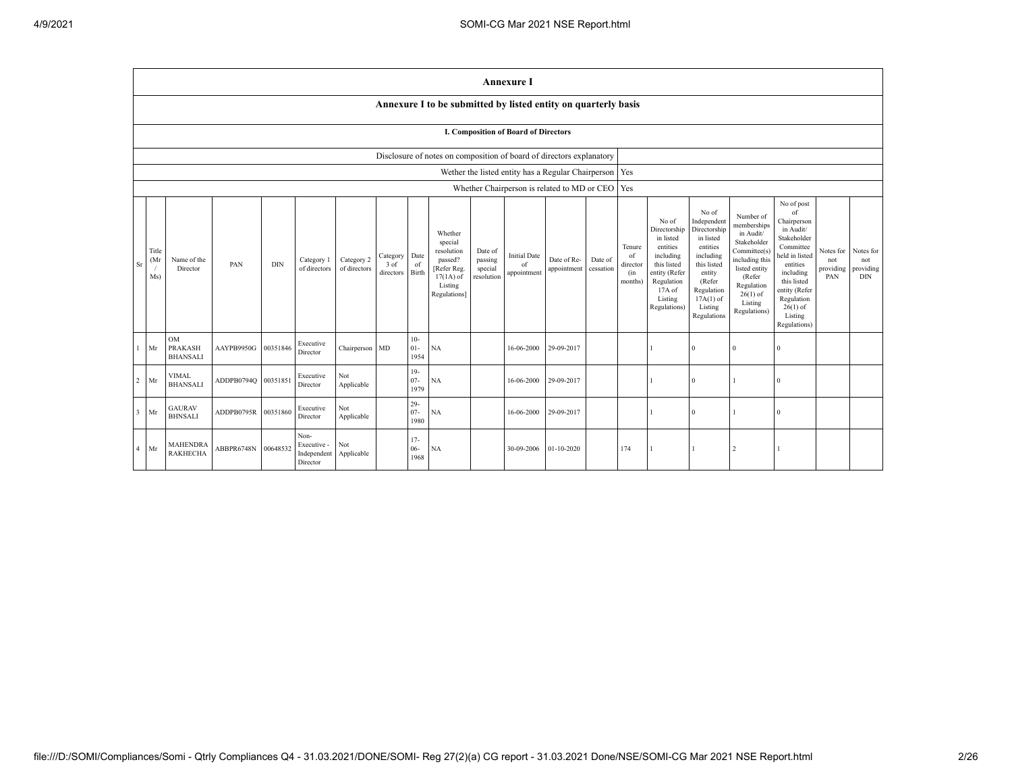|                |                                      |                                                                |            |            |                                                |                            |                               |                          |                                                                                                      |                                             | <b>Annexure I</b>                        |                                                          |                      |                                            |                                                                                                                                                |                                                                                                                                                                      |                                                                                                                                                                          |                                                                                                                                                                                                            |                                      |                                             |
|----------------|--------------------------------------|----------------------------------------------------------------|------------|------------|------------------------------------------------|----------------------------|-------------------------------|--------------------------|------------------------------------------------------------------------------------------------------|---------------------------------------------|------------------------------------------|----------------------------------------------------------|----------------------|--------------------------------------------|------------------------------------------------------------------------------------------------------------------------------------------------|----------------------------------------------------------------------------------------------------------------------------------------------------------------------|--------------------------------------------------------------------------------------------------------------------------------------------------------------------------|------------------------------------------------------------------------------------------------------------------------------------------------------------------------------------------------------------|--------------------------------------|---------------------------------------------|
|                |                                      | Annexure I to be submitted by listed entity on quarterly basis |            |            |                                                |                            |                               |                          |                                                                                                      |                                             |                                          |                                                          |                      |                                            |                                                                                                                                                |                                                                                                                                                                      |                                                                                                                                                                          |                                                                                                                                                                                                            |                                      |                                             |
|                | I. Composition of Board of Directors |                                                                |            |            |                                                |                            |                               |                          |                                                                                                      |                                             |                                          |                                                          |                      |                                            |                                                                                                                                                |                                                                                                                                                                      |                                                                                                                                                                          |                                                                                                                                                                                                            |                                      |                                             |
|                |                                      |                                                                |            |            |                                                |                            |                               |                          | Disclosure of notes on composition of board of directors explanatory                                 |                                             |                                          |                                                          |                      |                                            |                                                                                                                                                |                                                                                                                                                                      |                                                                                                                                                                          |                                                                                                                                                                                                            |                                      |                                             |
|                |                                      |                                                                |            |            |                                                |                            |                               |                          |                                                                                                      |                                             |                                          | Wether the listed entity has a Regular Chairperson   Yes |                      |                                            |                                                                                                                                                |                                                                                                                                                                      |                                                                                                                                                                          |                                                                                                                                                                                                            |                                      |                                             |
|                |                                      |                                                                |            |            |                                                |                            |                               |                          |                                                                                                      |                                             |                                          | Whether Chairperson is related to MD or CEO   Yes        |                      |                                            |                                                                                                                                                |                                                                                                                                                                      |                                                                                                                                                                          |                                                                                                                                                                                                            |                                      |                                             |
| Sr             | Title<br>(Mr)<br>Ms)                 | Name of the<br>Director                                        | PAN        | <b>DIN</b> | Category 1<br>of directors                     | Category 2<br>of directors | Category<br>3 of<br>directors | Date<br>of<br>Birth      | Whether<br>special<br>resolution<br>passed?<br>[Refer Reg.<br>$17(1A)$ of<br>Listing<br>Regulations] | Date of<br>passing<br>special<br>resolution | <b>Initial Date</b><br>of<br>appointment | Date of Re-<br>appointment                               | Date of<br>cessation | Tenure<br>of<br>director<br>(in<br>months) | No of<br>Directorship<br>in listed<br>entities<br>including<br>this listed<br>entity (Refer<br>Regulation<br>17A of<br>Listing<br>Regulations) | No of<br>Independent<br>Directorship<br>in listed<br>entities<br>including<br>this listed<br>entity<br>(Refer<br>Regulation<br>$17A(1)$ of<br>Listing<br>Regulations | Number of<br>memberships<br>in Audit/<br>Stakeholder<br>Committee(s)<br>including this<br>listed entity<br>(Refer<br>Regulation<br>$26(1)$ of<br>Listing<br>Regulations) | No of post<br>of<br>Chairperson<br>in Audit/<br>Stakeholder<br>Committee<br>held in listed<br>entities<br>including<br>this listed<br>entity (Refer<br>Regulation<br>$26(1)$ of<br>Listing<br>Regulations) | Notes for<br>not<br>providing<br>PAN | Notes for<br>not<br>providing<br><b>DIN</b> |
|                | Mr                                   | <b>OM</b><br><b>PRAKASH</b><br><b>BHANSALI</b>                 | AAYPB9950G | 00351846   | Executive<br>Director                          | Chairperson MD             |                               | $10-$<br>$01 -$<br>1954  | NA                                                                                                   |                                             | 16-06-2000                               | 29-09-2017                                               |                      |                                            |                                                                                                                                                | $\Omega$                                                                                                                                                             | $\Omega$                                                                                                                                                                 | $\Omega$                                                                                                                                                                                                   |                                      |                                             |
| $\overline{c}$ | Mr                                   | <b>VIMAL</b><br><b>BHANSALI</b>                                | ADDPB0794Q | 00351851   | Executive<br>Director                          | Not<br>Applicable          |                               | $19-$<br>$07 -$<br>1979  | <b>NA</b>                                                                                            |                                             | 16-06-2000                               | 29-09-2017                                               |                      |                                            |                                                                                                                                                | $\Omega$                                                                                                                                                             |                                                                                                                                                                          | $\Omega$                                                                                                                                                                                                   |                                      |                                             |
| $\overline{3}$ | Mr                                   | <b>GAURAV</b><br><b>BHNSALI</b>                                | ADDPB0795R | 00351860   | Executive<br>Director                          | Not<br>Applicable          |                               | $29 -$<br>$07 -$<br>1980 | <b>NA</b>                                                                                            |                                             | 16-06-2000                               | 29-09-2017                                               |                      |                                            |                                                                                                                                                | $\Omega$                                                                                                                                                             |                                                                                                                                                                          | $\Omega$                                                                                                                                                                                                   |                                      |                                             |
| $\overline{4}$ | Mr                                   | <b>MAHENDRA</b><br><b>RAKHECHA</b>                             | ABBPR6748N | 00648532   | Non-<br>Executive -<br>Independent<br>Director | Not<br>Applicable          |                               | $17 -$<br>$06 -$<br>1968 | <b>NA</b>                                                                                            |                                             | 30-09-2006                               | $01 - 10 - 2020$                                         |                      | 174                                        |                                                                                                                                                |                                                                                                                                                                      | $\overline{2}$                                                                                                                                                           |                                                                                                                                                                                                            |                                      |                                             |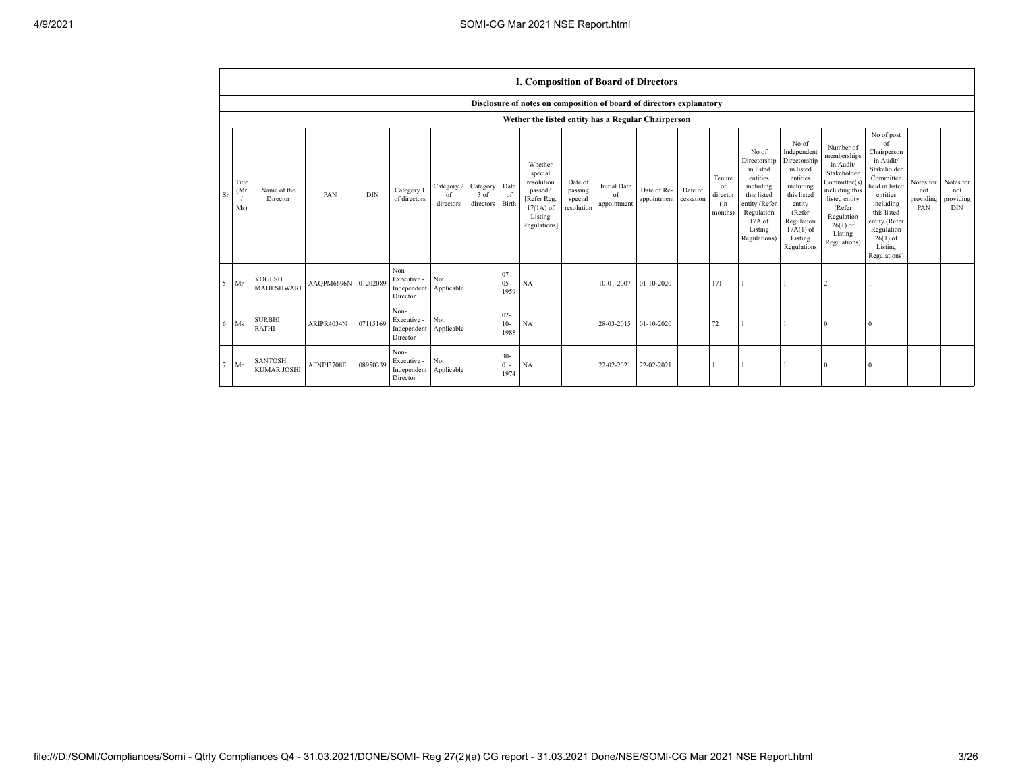|                           | I. Composition of Board of Directors                                 |                     |            |                                                |                               |                               |                          |                                                                                                     |                                             |                                          |                            |                      |                                            |                                                                                                                                                |                                                                                                                                                                      |                                                                                                                                                                          |                                                                                                                                                                                                            |                                      |                                             |
|---------------------------|----------------------------------------------------------------------|---------------------|------------|------------------------------------------------|-------------------------------|-------------------------------|--------------------------|-----------------------------------------------------------------------------------------------------|---------------------------------------------|------------------------------------------|----------------------------|----------------------|--------------------------------------------|------------------------------------------------------------------------------------------------------------------------------------------------|----------------------------------------------------------------------------------------------------------------------------------------------------------------------|--------------------------------------------------------------------------------------------------------------------------------------------------------------------------|------------------------------------------------------------------------------------------------------------------------------------------------------------------------------------------------------------|--------------------------------------|---------------------------------------------|
|                           | Disclosure of notes on composition of board of directors explanatory |                     |            |                                                |                               |                               |                          |                                                                                                     |                                             |                                          |                            |                      |                                            |                                                                                                                                                |                                                                                                                                                                      |                                                                                                                                                                          |                                                                                                                                                                                                            |                                      |                                             |
|                           | Wether the listed entity has a Regular Chairperson                   |                     |            |                                                |                               |                               |                          |                                                                                                     |                                             |                                          |                            |                      |                                            |                                                                                                                                                |                                                                                                                                                                      |                                                                                                                                                                          |                                                                                                                                                                                                            |                                      |                                             |
| Title<br>(Mr<br>Sr<br>Ms) | Name of the<br>Director                                              | PAN                 | <b>DIN</b> | Category 1<br>of directors                     | Category 2<br>of<br>directors | Category<br>3 of<br>directors | Date<br>of<br>Birth      | Whether<br>special<br>resolution<br>passed?<br>Refer Reg.<br>$17(1A)$ of<br>Listing<br>Regulations] | Date of<br>passing<br>special<br>resolution | <b>Initial Date</b><br>of<br>appointment | Date of Re-<br>appointment | Date of<br>cessation | Tenure<br>of<br>director<br>(in<br>months) | No of<br>Directorship<br>in listed<br>entities<br>including<br>this listed<br>entity (Refer<br>Regulation<br>17A of<br>Listing<br>Regulations) | No of<br>Independent<br>Directorship<br>in listed<br>entities<br>including<br>this listed<br>entity<br>(Refer<br>Regulation<br>$17A(1)$ of<br>Listing<br>Regulations | Number of<br>memberships<br>in Audit/<br>Stakeholder<br>Committee(s)<br>including this<br>listed entity<br>(Refer<br>Regulation<br>$26(1)$ of<br>Listing<br>Regulations) | No of post<br>of<br>Chairperson<br>in Audit/<br>Stakeholder<br>Committee<br>held in listed<br>entities<br>including<br>this listed<br>entity (Refer<br>Regulation<br>$26(1)$ of<br>Listing<br>Regulations) | Notes for<br>not<br>providing<br>PAN | Notes for<br>not<br>providing<br><b>DIN</b> |
| $5$ Mr                    | YOGESH<br><b>MAHESHWARI</b>                                          | AAQPM6696N 01202089 |            | Non-<br>Executive -<br>Independent<br>Director | Not<br>Applicable             |                               | $07 -$<br>$05 -$<br>1959 | NA                                                                                                  |                                             | 10-01-2007                               | 01-10-2020                 |                      | 171                                        |                                                                                                                                                |                                                                                                                                                                      |                                                                                                                                                                          |                                                                                                                                                                                                            |                                      |                                             |
| Ms<br>6                   | <b>SURBHI</b><br><b>RATHI</b>                                        | ARIPR4034N          | 07115169   | Non-<br>Executive -<br>Independent<br>Director | Not<br>Applicable             |                               | $02 -$<br>$10-$<br>1988  | NA                                                                                                  |                                             | 28-03-2015                               | $01 - 10 - 2020$           |                      | 72                                         |                                                                                                                                                |                                                                                                                                                                      | $\Omega$                                                                                                                                                                 | $\Omega$                                                                                                                                                                                                   |                                      |                                             |
| Mr                        | <b>SANTOSH</b><br><b>KUMAR JOSHI</b>                                 | AFNPJ3708E          | 08950339   | Non-<br>Executive -<br>Independent<br>Director | Not<br>Applicable             |                               | $30 -$<br>$01-$<br>1974  | <b>NA</b>                                                                                           |                                             | 22-02-2021                               | 22-02-2021                 |                      |                                            |                                                                                                                                                |                                                                                                                                                                      |                                                                                                                                                                          |                                                                                                                                                                                                            |                                      |                                             |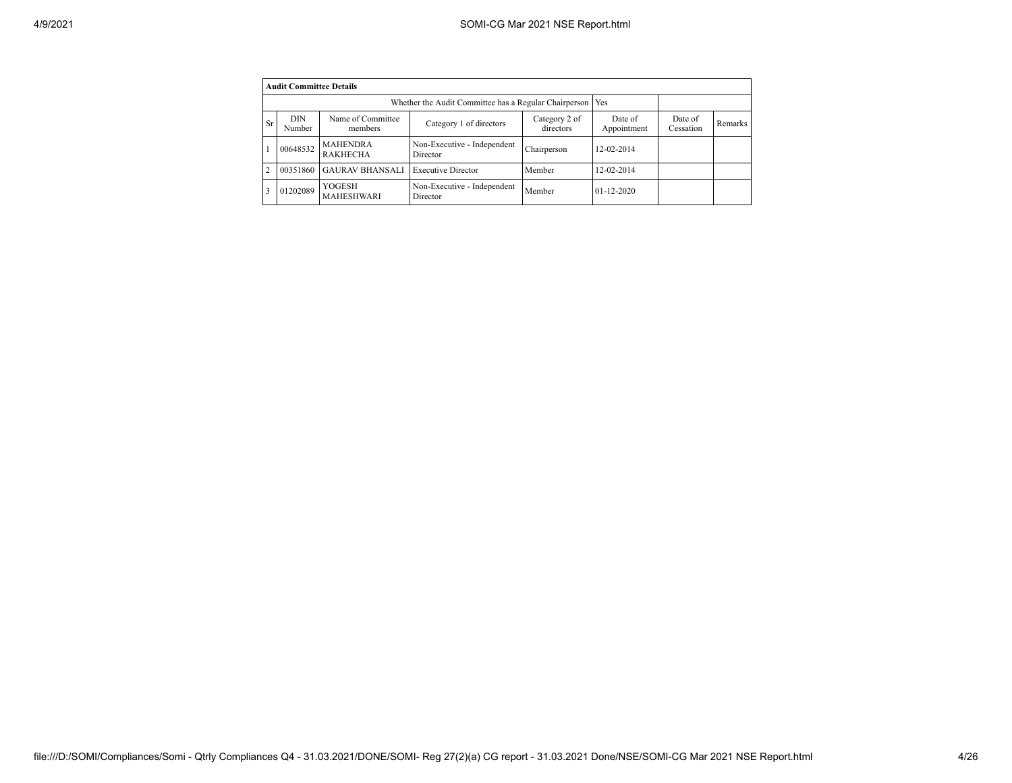|           | <b>Audit Committee Details</b> |                                    |                                                             |             |                  |  |  |
|-----------|--------------------------------|------------------------------------|-------------------------------------------------------------|-------------|------------------|--|--|
|           |                                |                                    | Whether the Audit Committee has a Regular Chairperson   Yes |             |                  |  |  |
| <b>Sr</b> | <b>DIN</b><br>Number           | Date of<br>Appointment             | Date of<br>Cessation                                        | Remarks     |                  |  |  |
|           | 00648532                       | <b>MAHENDRA</b><br><b>RAKHECHA</b> | Non-Executive - Independent<br>Director                     | Chairperson | 12-02-2014       |  |  |
|           | 00351860                       | <b>GAURAV BHANSALI</b>             | <b>Executive Director</b>                                   | Member      | 12-02-2014       |  |  |
|           | 01202089                       | YOGESH<br><b>MAHESHWARI</b>        | Non-Executive - Independent<br>Director                     | Member      | $01 - 12 - 2020$ |  |  |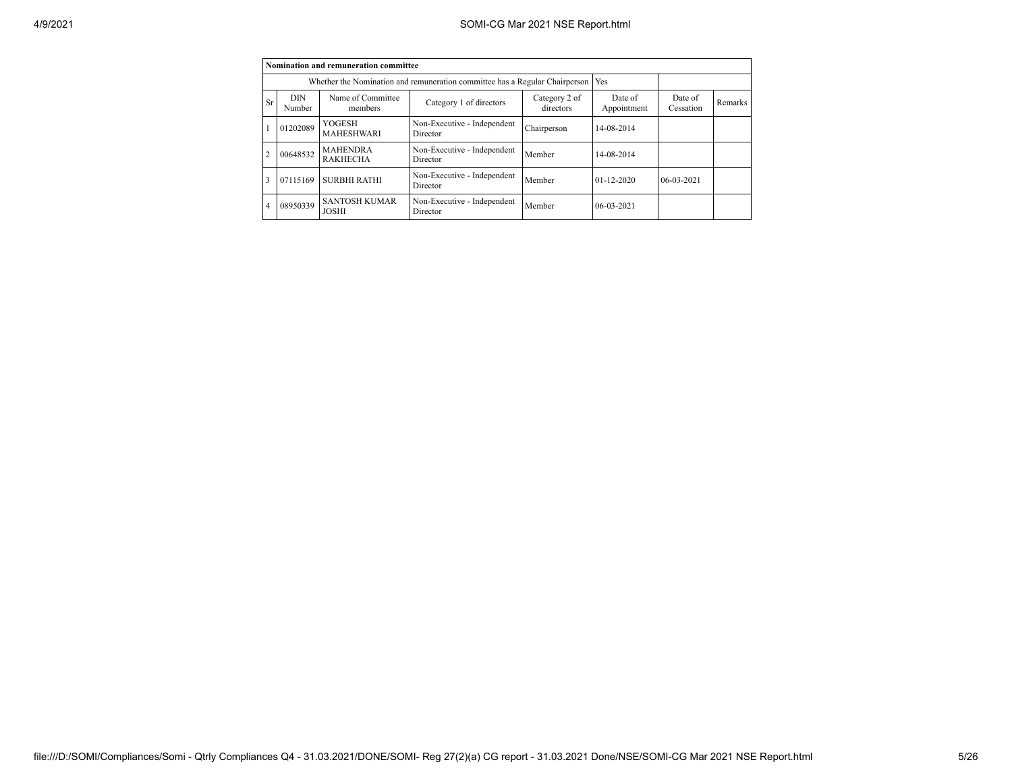|                |                      | Nomination and remuneration committee |                                                                             |                        |                      |            |  |
|----------------|----------------------|---------------------------------------|-----------------------------------------------------------------------------|------------------------|----------------------|------------|--|
|                |                      |                                       | Whether the Nomination and remuneration committee has a Regular Chairperson |                        | Yes                  |            |  |
| Sr             | <b>DIN</b><br>Number | Name of Committee<br>members          | Category 2 of<br>directors                                                  | Date of<br>Appointment | Date of<br>Cessation | Remarks    |  |
|                | 01202089             | <b>YOGESH</b><br><b>MAHESHWARI</b>    | Non-Executive - Independent<br>Director                                     | Chairperson            | 14-08-2014           |            |  |
| $\overline{2}$ | 00648532             | <b>MAHENDRA</b><br><b>RAKHECHA</b>    | Non-Executive - Independent<br>Director                                     | Member                 | 14-08-2014           |            |  |
| 3              | 07115169             | <b>SURBHI RATHI</b>                   | Non-Executive - Independent<br>Director                                     | Member                 | $01 - 12 - 2020$     | 06-03-2021 |  |
| $\overline{4}$ | 08950339             | <b>SANTOSH KUMAR</b><br><b>JOSHI</b>  | Non-Executive - Independent<br>Director                                     | Member                 | $06-03-2021$         |            |  |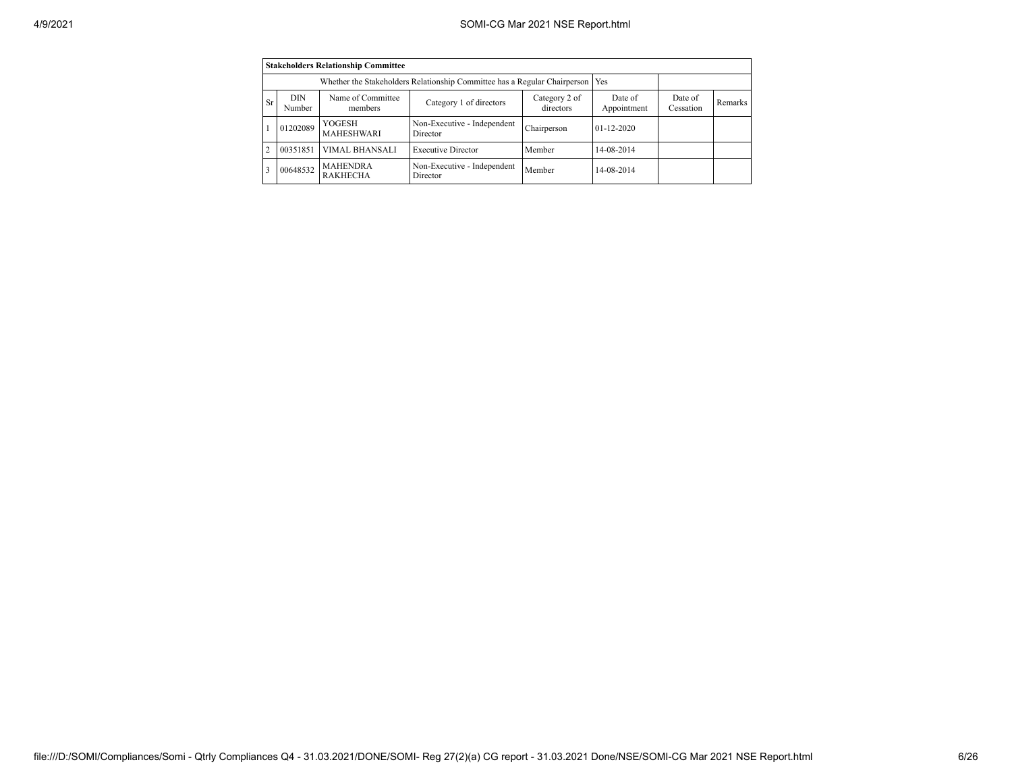|                | <b>Stakeholders Relationship Committee</b> |                                                                                 |                                         |             |                  |  |  |  |  |  |  |  |  |  |
|----------------|--------------------------------------------|---------------------------------------------------------------------------------|-----------------------------------------|-------------|------------------|--|--|--|--|--|--|--|--|--|
|                |                                            | Whether the Stakeholders Relationship Committee has a Regular Chairperson   Yes |                                         |             |                  |  |  |  |  |  |  |  |  |  |
| <b>Sr</b>      | <b>DIN</b><br>Number                       | Date of<br>Cessation                                                            | Remarks                                 |             |                  |  |  |  |  |  |  |  |  |  |
|                | 01202089                                   | YOGESH<br><b>MAHESHWARI</b>                                                     | Non-Executive - Independent<br>Director | Chairperson | $01 - 12 - 2020$ |  |  |  |  |  |  |  |  |  |
| $\overline{2}$ | 00351851                                   | VIMAL BHANSALI                                                                  | <b>Executive Director</b>               | Member      | 14-08-2014       |  |  |  |  |  |  |  |  |  |
| 3              | 00648532                                   | <b>MAHENDRA</b><br><b>RAKHECHA</b>                                              | Non-Executive - Independent<br>Director | Member      | 14-08-2014       |  |  |  |  |  |  |  |  |  |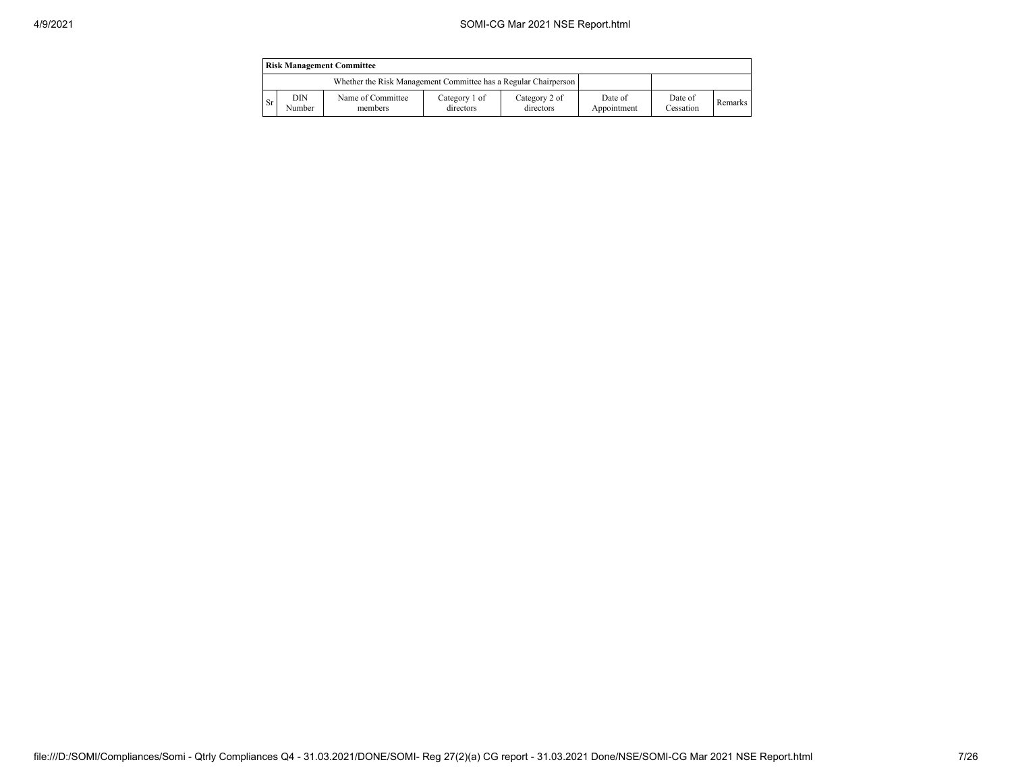|               | <b>Risk Management Committee</b> |                                                                 |                            |                            |                        |                      |                |  |  |  |  |  |
|---------------|----------------------------------|-----------------------------------------------------------------|----------------------------|----------------------------|------------------------|----------------------|----------------|--|--|--|--|--|
|               |                                  | Whether the Risk Management Committee has a Regular Chairperson |                            |                            |                        |                      |                |  |  |  |  |  |
| <sup>Sr</sup> | DIN<br>Number                    | Name of Committee<br>members                                    | Category 1 of<br>directors | Category 2 of<br>directors | Date of<br>Appointment | Date of<br>Cessation | <b>Remarks</b> |  |  |  |  |  |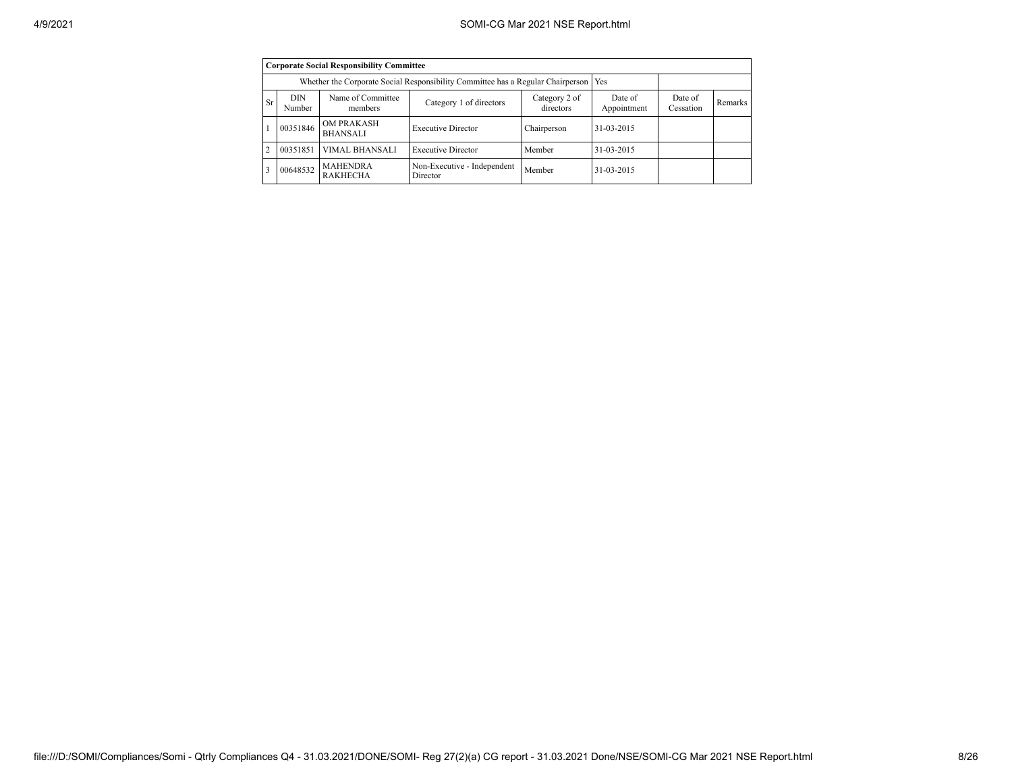|                |               | <b>Corporate Social Responsibility Committee</b> |                                                                                       |             |            |  |  |
|----------------|---------------|--------------------------------------------------|---------------------------------------------------------------------------------------|-------------|------------|--|--|
|                |               |                                                  | Whether the Corporate Social Responsibility Committee has a Regular Chairperson   Yes |             |            |  |  |
| <b>Sr</b>      | DIN<br>Number | Date of<br>Cessation                             | Remarks                                                                               |             |            |  |  |
|                | 00351846      | <b>OM PRAKASH</b><br><b>BHANSALI</b>             | <b>Executive Director</b>                                                             | Chairperson | 31-03-2015 |  |  |
| $\overline{2}$ | 00351851      | <b>VIMAL BHANSALI</b>                            | <b>Executive Director</b>                                                             | Member      | 31-03-2015 |  |  |
| 3              | 00648532      | <b>MAHENDRA</b><br><b>RAKHECHA</b>               | Non-Executive - Independent<br>Director                                               | Member      | 31-03-2015 |  |  |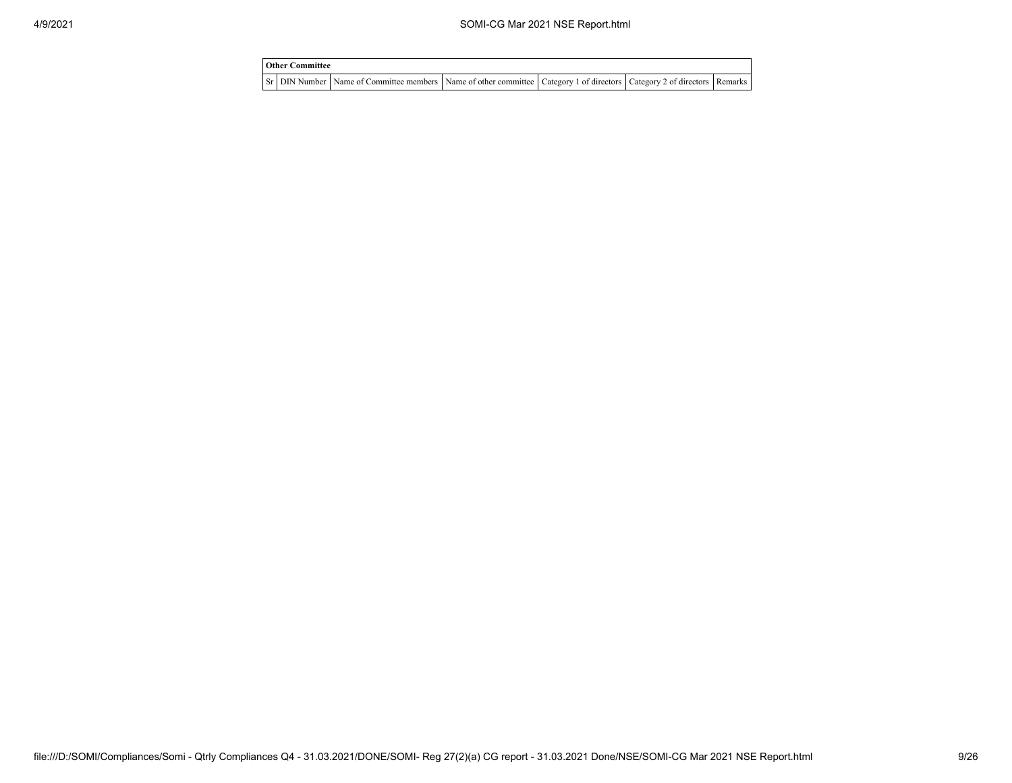| <b>Other Committee</b> |                                                                                                                         |  |  |
|------------------------|-------------------------------------------------------------------------------------------------------------------------|--|--|
|                        | Sr DIN Number Name of Committee members Name of other committee Category 1 of directors Category 2 of directors Remarks |  |  |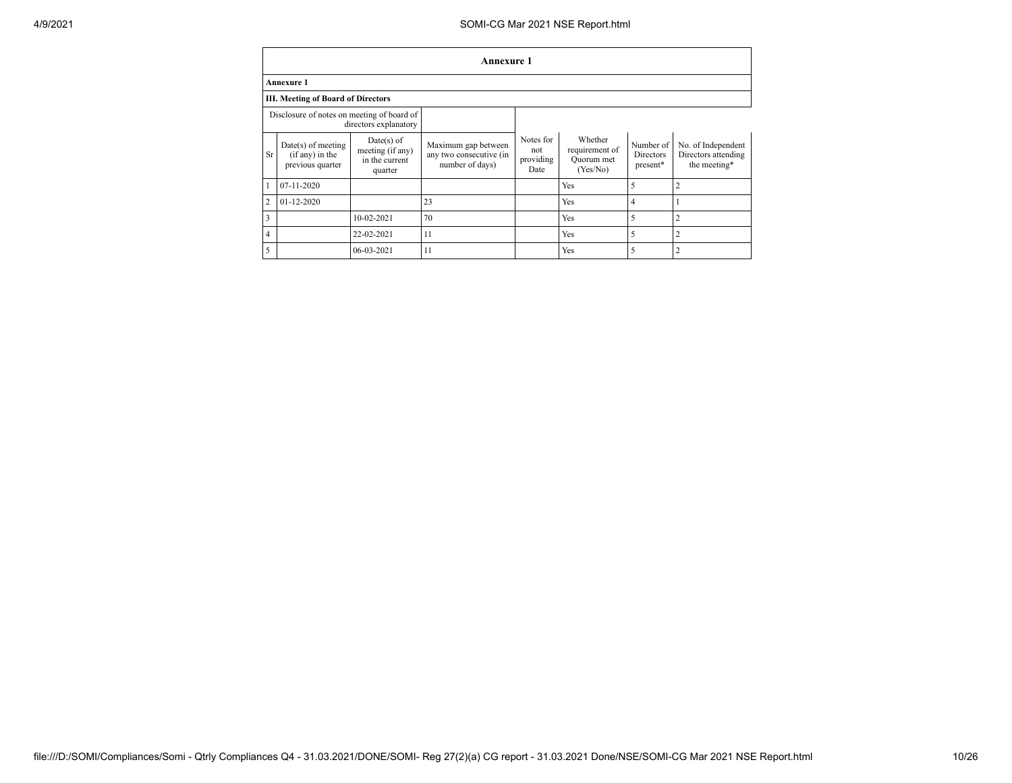## 4/9/2021 SOMI-CG Mar 2021 NSE Report.html

|                |                                                               |                                                               | Annexure 1                                                        |                                       |                                                     |                                    |                                                           |
|----------------|---------------------------------------------------------------|---------------------------------------------------------------|-------------------------------------------------------------------|---------------------------------------|-----------------------------------------------------|------------------------------------|-----------------------------------------------------------|
|                | <b>Annexure 1</b>                                             |                                                               |                                                                   |                                       |                                                     |                                    |                                                           |
|                | <b>III. Meeting of Board of Directors</b>                     |                                                               |                                                                   |                                       |                                                     |                                    |                                                           |
|                | Disclosure of notes on meeting of board of                    | directors explanatory                                         |                                                                   |                                       |                                                     |                                    |                                                           |
| Sr.            | $Date(s)$ of meeting<br>$(if any)$ in the<br>previous quarter | $Date(s)$ of<br>meeting (if any)<br>in the current<br>quarter | Maximum gap between<br>any two consecutive (in<br>number of days) | Notes for<br>not<br>providing<br>Date | Whether<br>requirement of<br>Ouorum met<br>(Yes/No) | Number of<br>Directors<br>present* | No. of Independent<br>Directors attending<br>the meeting* |
|                | $07-11-2020$                                                  |                                                               |                                                                   |                                       | Yes                                                 | 5                                  | $\overline{c}$                                            |
| $\overline{2}$ | $01 - 12 - 2020$                                              |                                                               | 23                                                                |                                       | Yes                                                 | 4                                  |                                                           |
| 3              |                                                               | 10-02-2021                                                    | 70                                                                |                                       | Yes                                                 | 5                                  | $\overline{c}$                                            |
| $\overline{4}$ |                                                               | 22-02-2021                                                    | 11                                                                |                                       | Yes                                                 | 5                                  | $\overline{2}$                                            |
| 5              |                                                               | 06-03-2021                                                    | 11                                                                |                                       | Yes                                                 | 5                                  | $\overline{2}$                                            |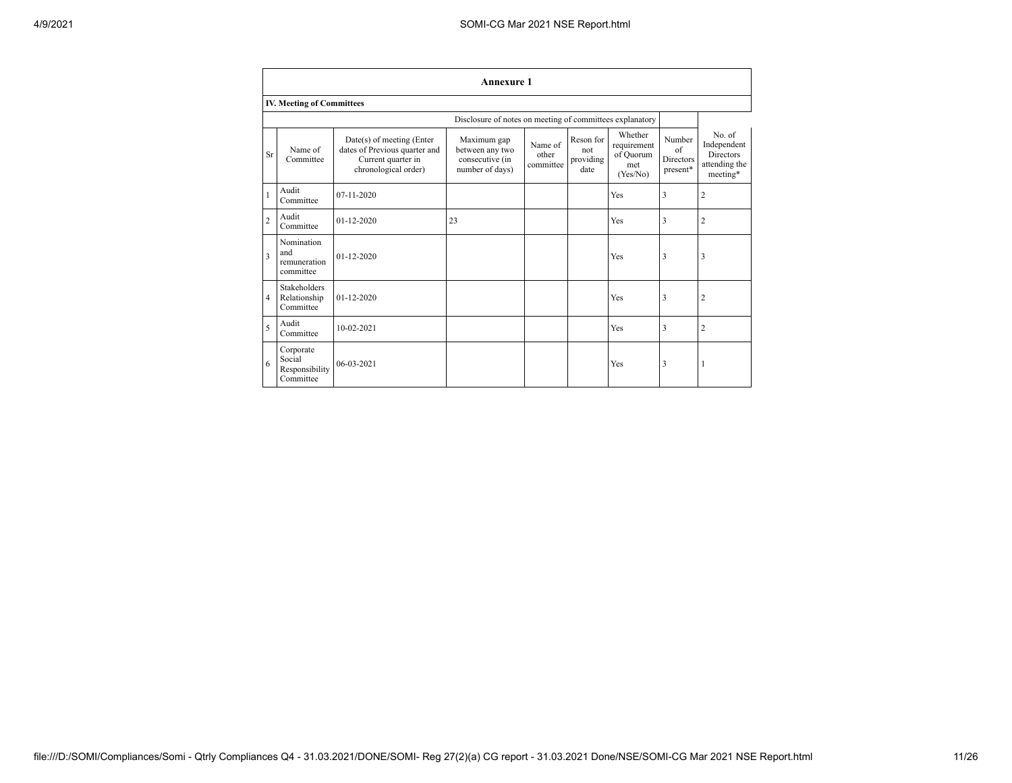|                | <b>Annexure 1</b>                                  |                                                                                                          |                                                                      |                               |                                       |                                                        |                                              |                                                                 |  |  |  |  |  |  |
|----------------|----------------------------------------------------|----------------------------------------------------------------------------------------------------------|----------------------------------------------------------------------|-------------------------------|---------------------------------------|--------------------------------------------------------|----------------------------------------------|-----------------------------------------------------------------|--|--|--|--|--|--|
|                | <b>IV. Meeting of Committees</b>                   |                                                                                                          |                                                                      |                               |                                       |                                                        |                                              |                                                                 |  |  |  |  |  |  |
|                |                                                    |                                                                                                          | Disclosure of notes on meeting of committees explanatory             |                               |                                       |                                                        |                                              |                                                                 |  |  |  |  |  |  |
| <b>Sr</b>      | Name of<br>Committee                               | Date(s) of meeting (Enter<br>dates of Previous quarter and<br>Current quarter in<br>chronological order) | Maximum gap<br>between any two<br>consecutive (in<br>number of days) | Name of<br>other<br>committee | Reson for<br>not<br>providing<br>date | Whether<br>requirement<br>of Quorum<br>met<br>(Yes/No) | Number<br>of<br><b>Directors</b><br>present* | No. of<br>Independent<br>Directors<br>attending the<br>meeting* |  |  |  |  |  |  |
|                | Audit<br>Committee                                 | 07-11-2020                                                                                               |                                                                      |                               |                                       | Yes                                                    | 3                                            | $\overline{2}$                                                  |  |  |  |  |  |  |
| $\overline{c}$ | Audit<br>Committee                                 | $01-12-2020$                                                                                             | 23                                                                   |                               |                                       | Yes                                                    | 3                                            | $\overline{2}$                                                  |  |  |  |  |  |  |
| 3              | Nomination<br>and<br>remuneration<br>committee     | $01 - 12 - 2020$                                                                                         |                                                                      |                               |                                       | Yes                                                    | 3                                            | 3                                                               |  |  |  |  |  |  |
| $\overline{4}$ | Stakeholders<br>Relationship<br>Committee          | $01-12-2020$                                                                                             |                                                                      |                               |                                       | Yes                                                    | $\overline{\mathbf{3}}$                      | $\overline{2}$                                                  |  |  |  |  |  |  |
| 5              | Audit<br>Committee                                 | $10 - 02 - 2021$                                                                                         |                                                                      |                               |                                       | Yes                                                    | 3                                            | $\overline{2}$                                                  |  |  |  |  |  |  |
| 6              | Corporate<br>Social<br>Responsibility<br>Committee | 06-03-2021                                                                                               |                                                                      |                               |                                       | Yes                                                    | 3                                            | I                                                               |  |  |  |  |  |  |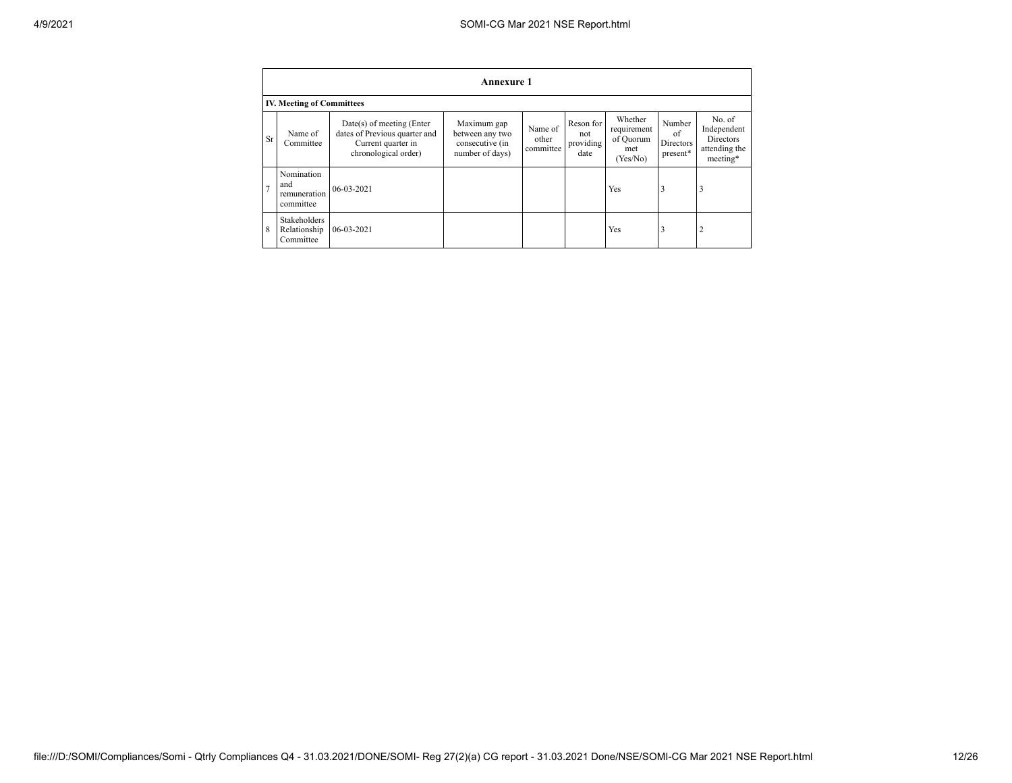|                | <b>Annexure 1</b>                              |                                                                                                          |                                                                      |                               |                                       |                                                        |                                              |                                                                        |  |  |  |  |  |  |
|----------------|------------------------------------------------|----------------------------------------------------------------------------------------------------------|----------------------------------------------------------------------|-------------------------------|---------------------------------------|--------------------------------------------------------|----------------------------------------------|------------------------------------------------------------------------|--|--|--|--|--|--|
|                | <b>IV. Meeting of Committees</b>               |                                                                                                          |                                                                      |                               |                                       |                                                        |                                              |                                                                        |  |  |  |  |  |  |
| Sr             | Name of<br>Committee                           | Date(s) of meeting (Enter<br>dates of Previous quarter and<br>Current quarter in<br>chronological order) | Maximum gap<br>between any two<br>consecutive (in<br>number of days) | Name of<br>other<br>committee | Reson for<br>not<br>providing<br>date | Whether<br>requirement<br>of Ouorum<br>met<br>(Yes/No) | Number<br>of<br><b>Directors</b><br>present* | No. of<br>Independent<br><b>Directors</b><br>attending the<br>meeting* |  |  |  |  |  |  |
| $\overline{7}$ | Nomination<br>and<br>remuneration<br>committee | 06-03-2021                                                                                               |                                                                      |                               |                                       | Yes                                                    | 3                                            | 3                                                                      |  |  |  |  |  |  |
| 8              | Stakeholders<br>Relationship<br>Committee      | 06-03-2021                                                                                               |                                                                      |                               |                                       | Yes                                                    | 3                                            | $\overline{2}$                                                         |  |  |  |  |  |  |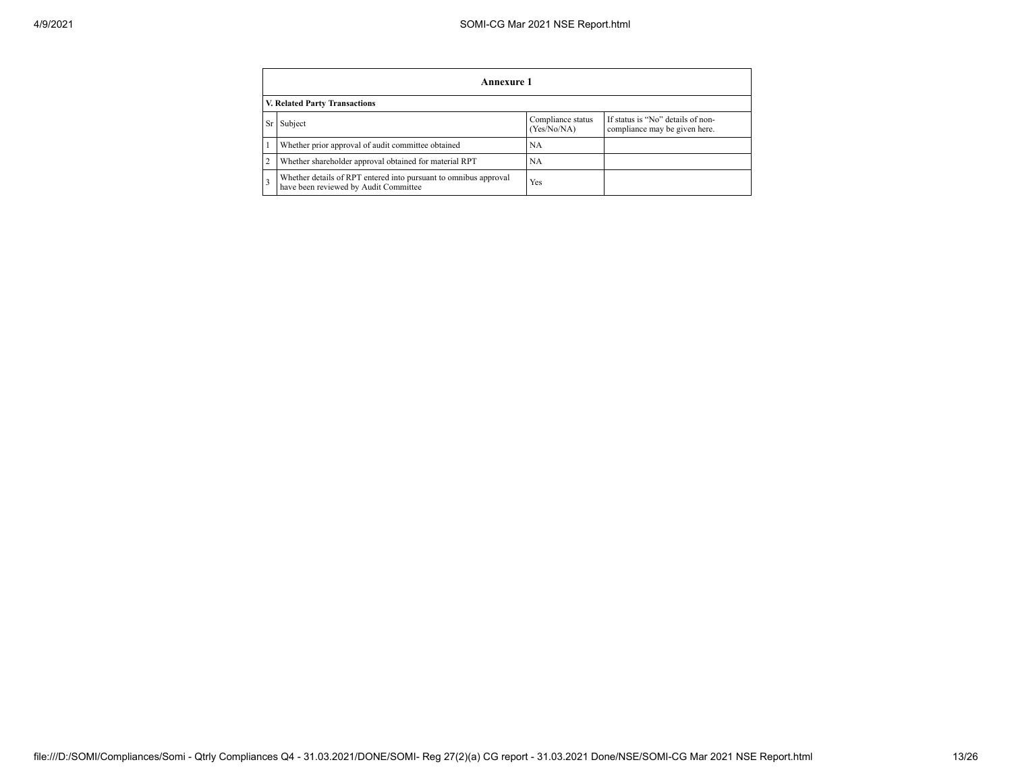|    | Annexure 1                                                                                                |                                  |                                                                    |  |  |  |
|----|-----------------------------------------------------------------------------------------------------------|----------------------------------|--------------------------------------------------------------------|--|--|--|
|    | <b>V. Related Party Transactions</b>                                                                      |                                  |                                                                    |  |  |  |
| Sr | Subject                                                                                                   | Compliance status<br>(Yes/No/NA) | If status is "No" details of non-<br>compliance may be given here. |  |  |  |
|    | Whether prior approval of audit committee obtained                                                        | NA                               |                                                                    |  |  |  |
|    | Whether shareholder approval obtained for material RPT                                                    | NA                               |                                                                    |  |  |  |
|    | Whether details of RPT entered into pursuant to omnibus approval<br>have been reviewed by Audit Committee | Yes                              |                                                                    |  |  |  |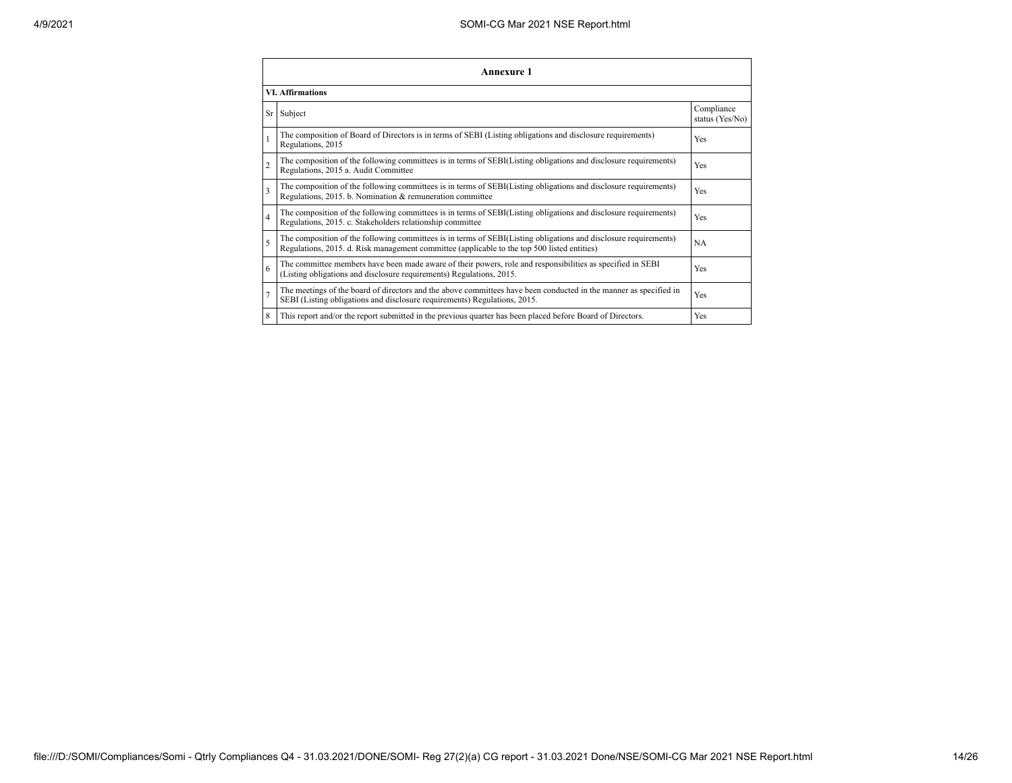|                | <b>Annexure 1</b>                                                                                                                                                                                               |                               |  |  |  |  |
|----------------|-----------------------------------------------------------------------------------------------------------------------------------------------------------------------------------------------------------------|-------------------------------|--|--|--|--|
|                | <b>VI. Affirmations</b>                                                                                                                                                                                         |                               |  |  |  |  |
|                | Sr Subject                                                                                                                                                                                                      | Compliance<br>status (Yes/No) |  |  |  |  |
|                | The composition of Board of Directors is in terms of SEBI (Listing obligations and disclosure requirements)<br>Regulations, 2015                                                                                | Yes                           |  |  |  |  |
| $\overline{c}$ | The composition of the following committees is in terms of SEBI(Listing obligations and disclosure requirements)<br>Regulations, 2015 a. Audit Committee                                                        | Yes                           |  |  |  |  |
| 3              | The composition of the following committees is in terms of SEBI(Listing obligations and disclosure requirements)<br>Regulations, 2015. b. Nomination & remuneration committee                                   | Yes                           |  |  |  |  |
| 4              | The composition of the following committees is in terms of SEBI(Listing obligations and disclosure requirements)<br>Regulations, 2015. c. Stakeholders relationship committee                                   | Yes                           |  |  |  |  |
| 5              | The composition of the following committees is in terms of SEBI(Listing obligations and disclosure requirements)<br>Regulations, 2015. d. Risk management committee (applicable to the top 500 listed entities) | NA                            |  |  |  |  |
| 6              | The committee members have been made aware of their powers, role and responsibilities as specified in SEBI<br>(Listing obligations and disclosure requirements) Regulations, 2015.                              | Yes                           |  |  |  |  |
|                | The meetings of the board of directors and the above committees have been conducted in the manner as specified in<br>SEBI (Listing obligations and disclosure requirements) Regulations, 2015.                  | Yes                           |  |  |  |  |
| 8              | This report and/or the report submitted in the previous quarter has been placed before Board of Directors.                                                                                                      | Yes                           |  |  |  |  |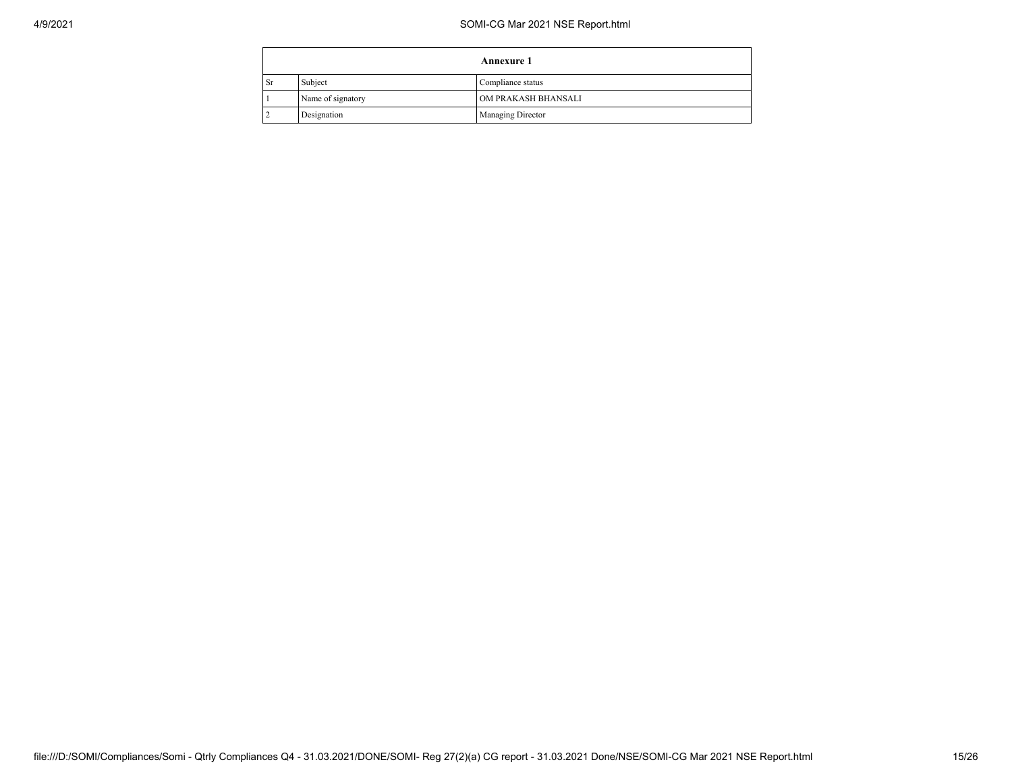## 4/9/2021 SOMI-CG Mar 2021 NSE Report.html

|           |                   | <b>Annexure 1</b>        |
|-----------|-------------------|--------------------------|
| <b>Sr</b> | Subject           | Compliance status        |
|           | Name of signatory | OM PRAKASH BHANSALI      |
|           | Designation       | <b>Managing Director</b> |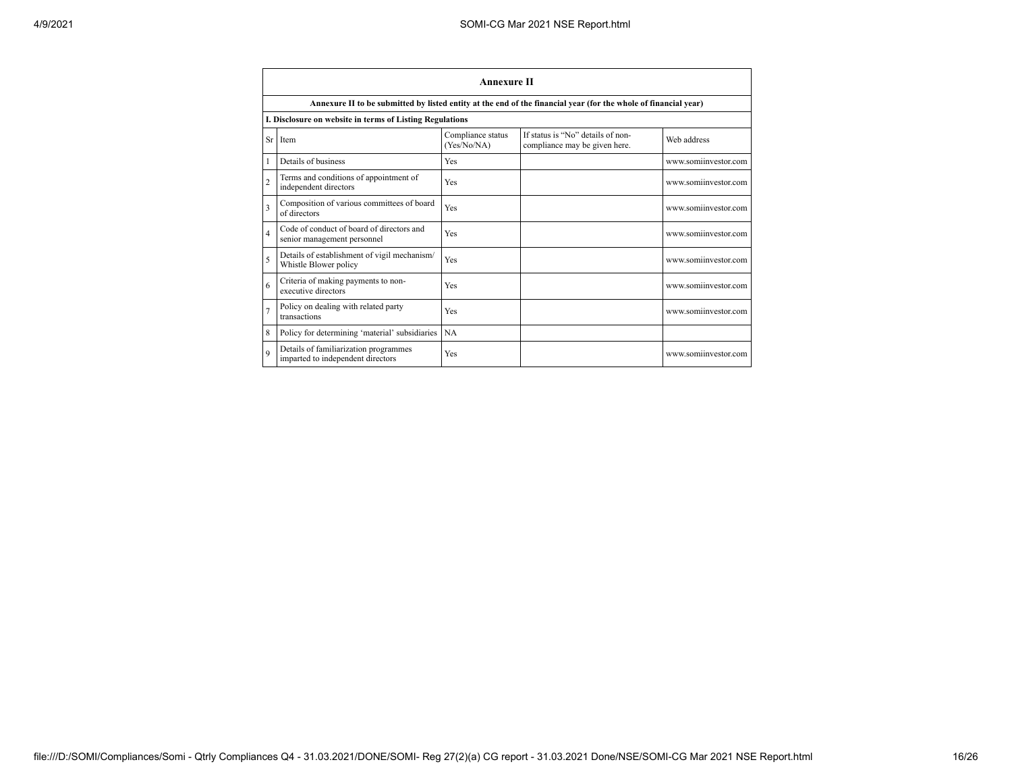|                | <b>Annexure II</b>                                                                                              |                                  |                                                                    |                      |  |  |  |
|----------------|-----------------------------------------------------------------------------------------------------------------|----------------------------------|--------------------------------------------------------------------|----------------------|--|--|--|
|                | Annexure II to be submitted by listed entity at the end of the financial year (for the whole of financial year) |                                  |                                                                    |                      |  |  |  |
|                | I. Disclosure on website in terms of Listing Regulations                                                        |                                  |                                                                    |                      |  |  |  |
|                | Sr Item                                                                                                         | Compliance status<br>(Yes/No/NA) | If status is "No" details of non-<br>compliance may be given here. | Web address          |  |  |  |
|                | Details of business                                                                                             | Yes                              |                                                                    | www.somiinvestor.com |  |  |  |
| $\overline{c}$ | Terms and conditions of appointment of<br>independent directors                                                 | Yes                              |                                                                    | www.somiinvestor.com |  |  |  |
| 3              | Composition of various committees of board<br>of directors                                                      | Yes                              |                                                                    | www.somiinvestor.com |  |  |  |
| 4              | Code of conduct of board of directors and<br>senior management personnel                                        | Yes                              |                                                                    | www.somiinvestor.com |  |  |  |
| 5              | Details of establishment of vigil mechanism/<br>Whistle Blower policy                                           | Yes                              |                                                                    | www.somiinvestor.com |  |  |  |
| 6              | Criteria of making payments to non-<br>executive directors                                                      | Yes                              |                                                                    | www.somiinvestor.com |  |  |  |
| $\overline{7}$ | Policy on dealing with related party<br>transactions                                                            | Yes                              |                                                                    | www.somiinvestor.com |  |  |  |
| 8              | Policy for determining 'material' subsidiaries                                                                  | <b>NA</b>                        |                                                                    |                      |  |  |  |
| $\mathbf Q$    | Details of familiarization programmes<br>imparted to independent directors                                      | Yes                              |                                                                    | www.somiinvestor.com |  |  |  |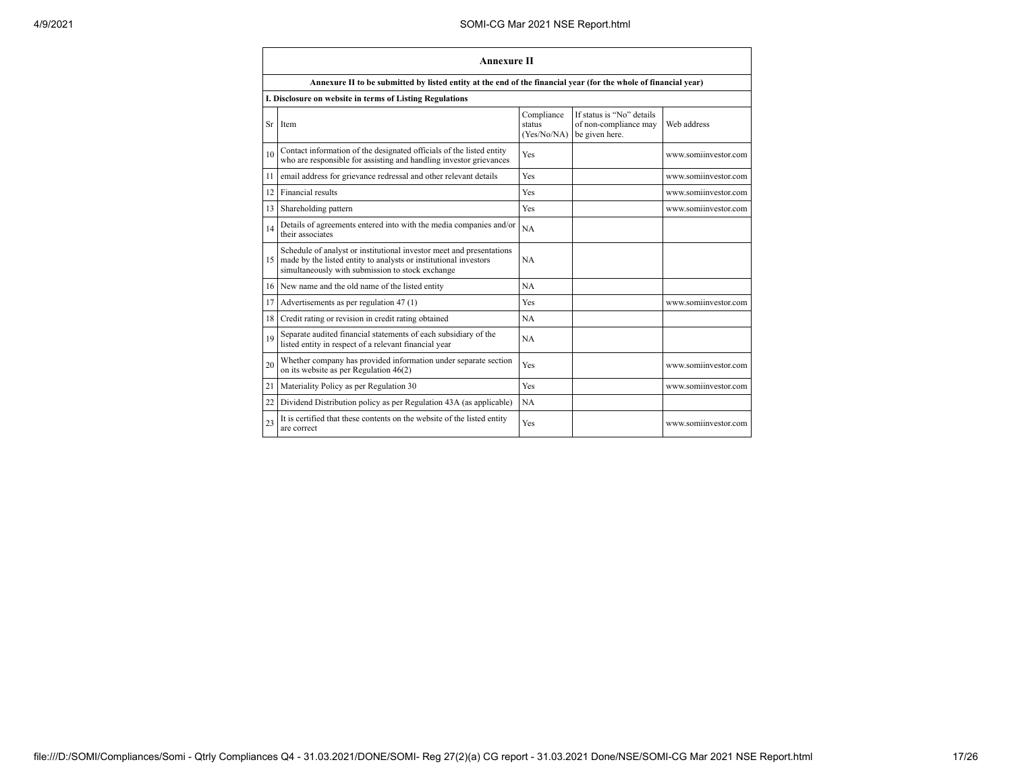|    | <b>Annexure II</b>                                                                                                                                                                              |                                     |                                                                      |                      |  |
|----|-------------------------------------------------------------------------------------------------------------------------------------------------------------------------------------------------|-------------------------------------|----------------------------------------------------------------------|----------------------|--|
|    | Annexure II to be submitted by listed entity at the end of the financial year (for the whole of financial year)                                                                                 |                                     |                                                                      |                      |  |
|    | I. Disclosure on website in terms of Listing Regulations                                                                                                                                        |                                     |                                                                      |                      |  |
| Sr | Item                                                                                                                                                                                            | Compliance<br>status<br>(Yes/No/NA) | If status is "No" details<br>of non-compliance may<br>be given here. | Web address          |  |
| 10 | Contact information of the designated officials of the listed entity<br>who are responsible for assisting and handling investor grievances                                                      | Yes                                 |                                                                      | www.somiinvestor.com |  |
| 11 | email address for grievance redressal and other relevant details                                                                                                                                | Yes                                 |                                                                      | www.somiinvestor.com |  |
| 12 | Financial results                                                                                                                                                                               | Yes                                 |                                                                      | www.somiinvestor.com |  |
| 13 | Shareholding pattern                                                                                                                                                                            | Yes                                 |                                                                      | www.somiinvestor.com |  |
| 14 | Details of agreements entered into with the media companies and/or<br>their associates                                                                                                          | <b>NA</b>                           |                                                                      |                      |  |
|    | Schedule of analyst or institutional investor meet and presentations<br>15 made by the listed entity to analysts or institutional investors<br>simultaneously with submission to stock exchange | <b>NA</b>                           |                                                                      |                      |  |
| 16 | New name and the old name of the listed entity                                                                                                                                                  | <b>NA</b>                           |                                                                      |                      |  |
| 17 | Advertisements as per regulation 47 (1)                                                                                                                                                         | Yes                                 |                                                                      | www.somiinvestor.com |  |
| 18 | Credit rating or revision in credit rating obtained                                                                                                                                             | <b>NA</b>                           |                                                                      |                      |  |
| 19 | Separate audited financial statements of each subsidiary of the<br>listed entity in respect of a relevant financial year                                                                        | <b>NA</b>                           |                                                                      |                      |  |
| 20 | Whether company has provided information under separate section<br>on its website as per Regulation $46(2)$                                                                                     | Yes                                 |                                                                      | www.somiinvestor.com |  |
| 21 | Materiality Policy as per Regulation 30                                                                                                                                                         | Yes                                 |                                                                      | www.somiinvestor.com |  |
| 22 | Dividend Distribution policy as per Regulation 43A (as applicable)                                                                                                                              | <b>NA</b>                           |                                                                      |                      |  |
| 23 | It is certified that these contents on the website of the listed entity<br>are correct                                                                                                          | Yes                                 |                                                                      | www.somiinvestor.com |  |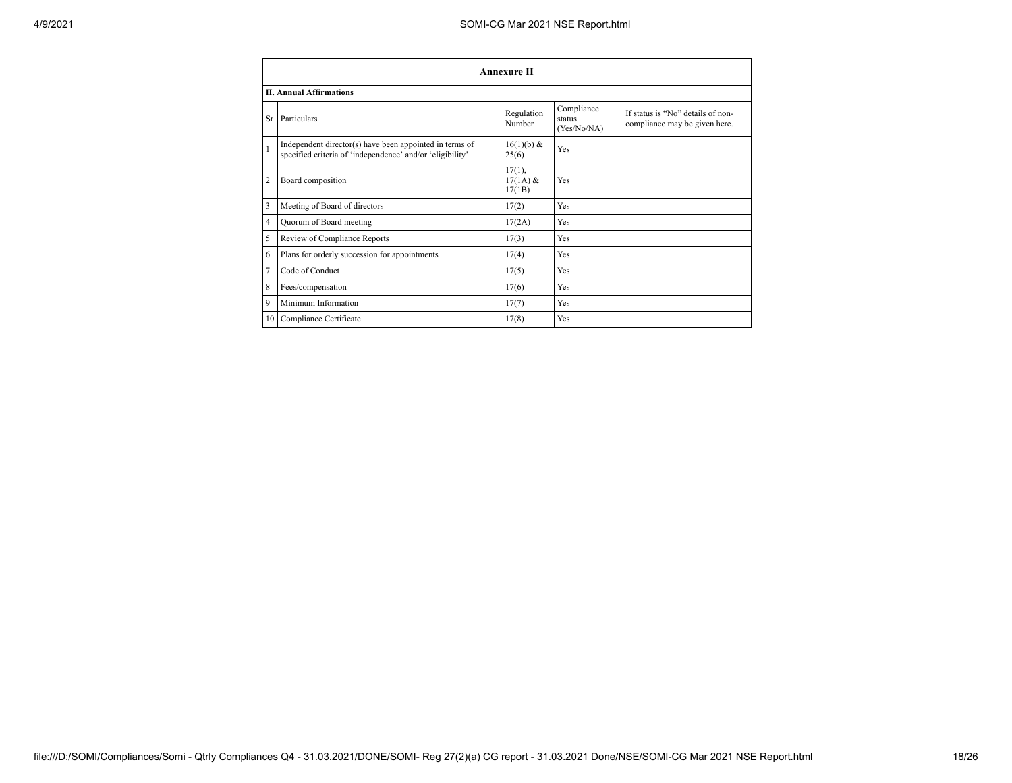|                | <b>Annexure II</b>                                                                                                   |                                   |                                     |                                                                    |  |
|----------------|----------------------------------------------------------------------------------------------------------------------|-----------------------------------|-------------------------------------|--------------------------------------------------------------------|--|
|                | <b>II. Annual Affirmations</b>                                                                                       |                                   |                                     |                                                                    |  |
|                | Sr Particulars                                                                                                       | Regulation<br>Number              | Compliance<br>status<br>(Yes/No/NA) | If status is "No" details of non-<br>compliance may be given here. |  |
| $\mathbf{1}$   | Independent director(s) have been appointed in terms of<br>specified criteria of 'independence' and/or 'eligibility' | 16(1)(b) &<br>25(6)               | Yes                                 |                                                                    |  |
| $\overline{2}$ | Board composition                                                                                                    | $17(1)$ ,<br>$17(1A)$ &<br>17(1B) | Yes                                 |                                                                    |  |
| 3              | Meeting of Board of directors                                                                                        | 17(2)                             | Yes                                 |                                                                    |  |
| $\overline{4}$ | Quorum of Board meeting                                                                                              | 17(2A)                            | Yes                                 |                                                                    |  |
| 5              | Review of Compliance Reports                                                                                         | 17(3)                             | Yes                                 |                                                                    |  |
| 6              | Plans for orderly succession for appointments                                                                        | 17(4)                             | Yes                                 |                                                                    |  |
| $\overline{7}$ | Code of Conduct                                                                                                      | 17(5)                             | Yes                                 |                                                                    |  |
| 8              | Fees/compensation                                                                                                    | 17(6)                             | Yes                                 |                                                                    |  |
| 9              | Minimum Information                                                                                                  | 17(7)                             | Yes                                 |                                                                    |  |
|                | 10 Compliance Certificate                                                                                            | 17(8)                             | Yes                                 |                                                                    |  |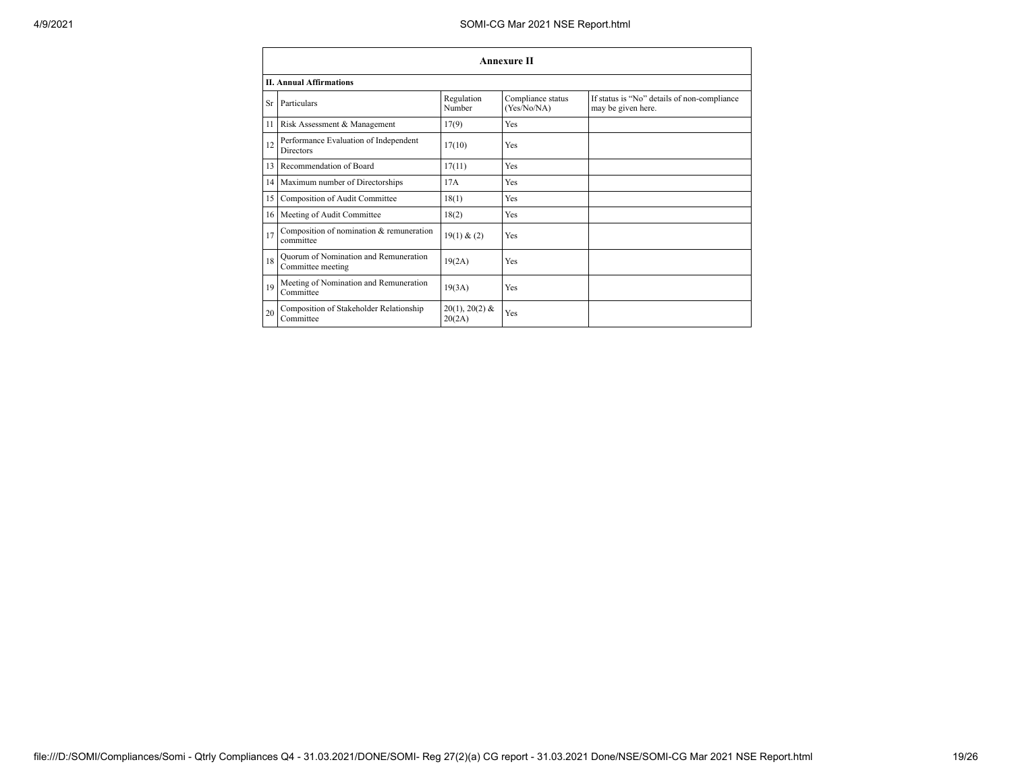|    | <b>Annexure II</b>                                         |                            |                                  |                                                                   |  |  |
|----|------------------------------------------------------------|----------------------------|----------------------------------|-------------------------------------------------------------------|--|--|
|    | <b>II. Annual Affirmations</b>                             |                            |                                  |                                                                   |  |  |
| Sr | Particulars                                                | Regulation<br>Number       | Compliance status<br>(Yes/No/NA) | If status is "No" details of non-compliance<br>may be given here. |  |  |
| 11 | Risk Assessment & Management                               | 17(9)                      | Yes                              |                                                                   |  |  |
| 12 | Performance Evaluation of Independent<br><b>Directors</b>  | 17(10)                     | Yes                              |                                                                   |  |  |
| 13 | Recommendation of Board                                    | 17(11)                     | Yes                              |                                                                   |  |  |
| 14 | Maximum number of Directorships                            | 17A                        | Yes                              |                                                                   |  |  |
| 15 | Composition of Audit Committee                             | 18(1)                      | Yes                              |                                                                   |  |  |
| 16 | Meeting of Audit Committee                                 | 18(2)                      | Yes                              |                                                                   |  |  |
| 17 | Composition of nomination & remuneration<br>committee      | 19(1) & (2)                | Yes                              |                                                                   |  |  |
| 18 | Ouorum of Nomination and Remuneration<br>Committee meeting | 19(2A)                     | Yes                              |                                                                   |  |  |
| 19 | Meeting of Nomination and Remuneration<br>Committee        | 19(3A)                     | Yes                              |                                                                   |  |  |
| 20 | Composition of Stakeholder Relationship<br>Committee       | $20(1), 20(2)$ &<br>20(2A) | Yes                              |                                                                   |  |  |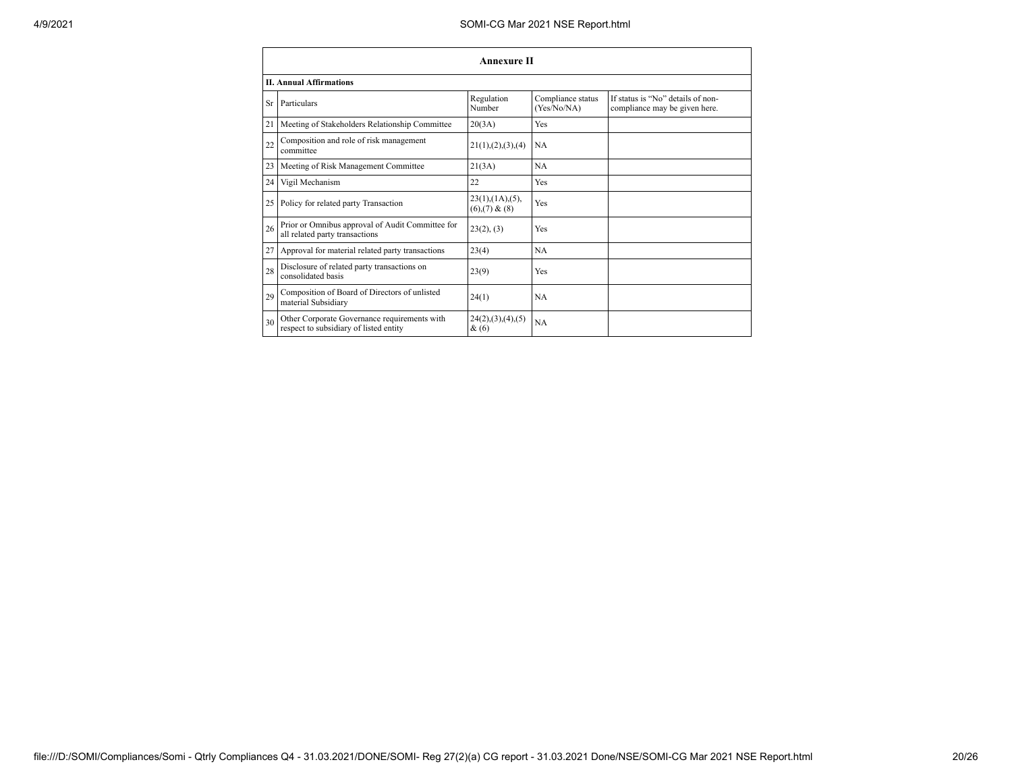|    | <b>Annexure II</b>                                                                     |                                                     |                                  |                                                                    |  |  |
|----|----------------------------------------------------------------------------------------|-----------------------------------------------------|----------------------------------|--------------------------------------------------------------------|--|--|
|    | <b>II. Annual Affirmations</b>                                                         |                                                     |                                  |                                                                    |  |  |
| Sr | Particulars                                                                            | Regulation<br>Number                                | Compliance status<br>(Yes/No/NA) | If status is "No" details of non-<br>compliance may be given here. |  |  |
| 21 | Meeting of Stakeholders Relationship Committee                                         | 20(3A)                                              | Yes                              |                                                                    |  |  |
| 22 | Composition and role of risk management<br>committee                                   | 21(1), (2), (3), (4)                                | <b>NA</b>                        |                                                                    |  |  |
| 23 | Meeting of Risk Management Committee                                                   | 21(3A)                                              | NA                               |                                                                    |  |  |
| 24 | Vigil Mechanism                                                                        | 22                                                  | Yes                              |                                                                    |  |  |
| 25 | Policy for related party Transaction                                                   | $23(1)$ , $(1A)$ , $(5)$ ,<br>$(6)$ , $(7)$ & $(8)$ | Yes                              |                                                                    |  |  |
| 26 | Prior or Omnibus approval of Audit Committee for<br>all related party transactions     | 23(2), (3)                                          | Yes                              |                                                                    |  |  |
| 27 | Approval for material related party transactions                                       | 23(4)                                               | <b>NA</b>                        |                                                                    |  |  |
| 28 | Disclosure of related party transactions on<br>consolidated basis                      | 23(9)                                               | Yes                              |                                                                    |  |  |
| 29 | Composition of Board of Directors of unlisted<br>material Subsidiary                   | 24(1)                                               | <b>NA</b>                        |                                                                    |  |  |
| 30 | Other Corporate Governance requirements with<br>respect to subsidiary of listed entity | 24(2),(3),(4),(5)<br>$\&(6)$                        | NA                               |                                                                    |  |  |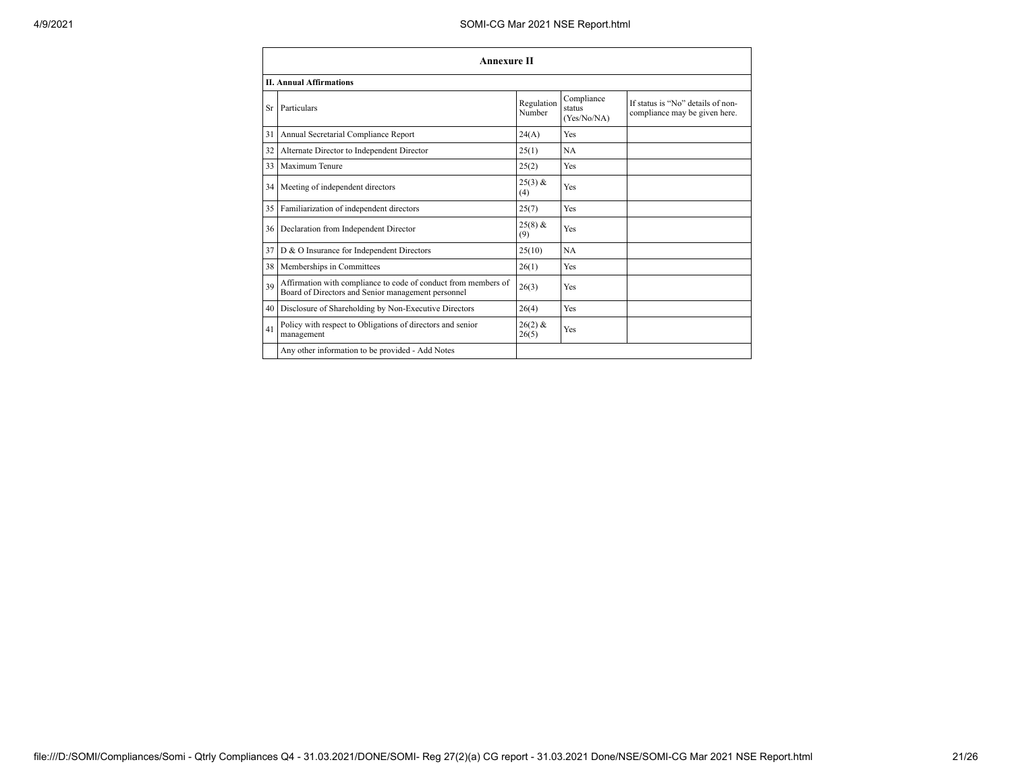|           | <b>Annexure II</b>                                                                                                   |                      |                                     |                                                                    |  |
|-----------|----------------------------------------------------------------------------------------------------------------------|----------------------|-------------------------------------|--------------------------------------------------------------------|--|
|           | <b>II. Annual Affirmations</b>                                                                                       |                      |                                     |                                                                    |  |
| <b>Sr</b> | Particulars                                                                                                          | Regulation<br>Number | Compliance<br>status<br>(Yes/No/NA) | If status is "No" details of non-<br>compliance may be given here. |  |
| 31        | Annual Secretarial Compliance Report                                                                                 | 24(A)                | Yes                                 |                                                                    |  |
| 32        | Alternate Director to Independent Director                                                                           | 25(1)                | NA                                  |                                                                    |  |
| 33        | Maximum Tenure                                                                                                       | 25(2)                | Yes                                 |                                                                    |  |
| 34        | Meeting of independent directors                                                                                     | $25(3)$ &<br>(4)     | Yes                                 |                                                                    |  |
| 35        | Familiarization of independent directors                                                                             | 25(7)                | Yes                                 |                                                                    |  |
| 36        | Declaration from Independent Director                                                                                | $25(8)$ &<br>(9)     | Yes                                 |                                                                    |  |
| 37        | D & O Insurance for Independent Directors                                                                            | 25(10)               | <b>NA</b>                           |                                                                    |  |
| 38        | Memberships in Committees                                                                                            | 26(1)                | Yes                                 |                                                                    |  |
| 39        | Affirmation with compliance to code of conduct from members of<br>Board of Directors and Senior management personnel | 26(3)                | Yes                                 |                                                                    |  |
| 40        | Disclosure of Shareholding by Non-Executive Directors                                                                | 26(4)                | Yes                                 |                                                                    |  |
| 41        | Policy with respect to Obligations of directors and senior<br>management                                             | $26(2)$ &<br>26(5)   | Yes                                 |                                                                    |  |
|           | Any other information to be provided - Add Notes                                                                     |                      |                                     |                                                                    |  |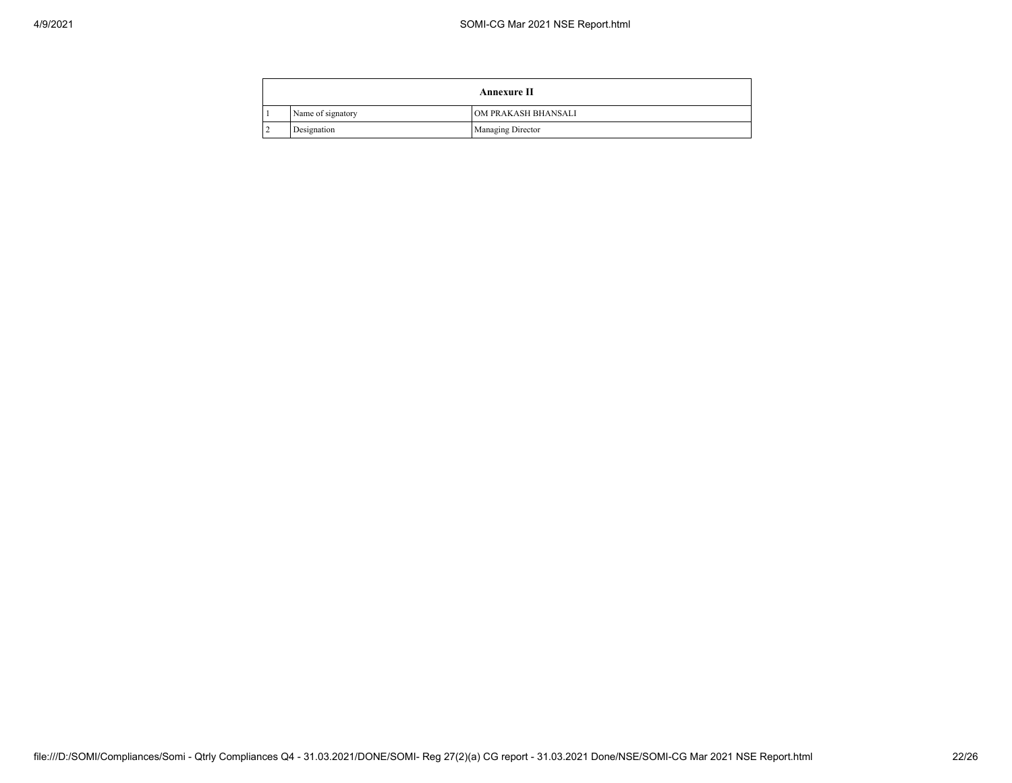$\overline{a}$ 

| <b>Annexure II</b> |                          |  |
|--------------------|--------------------------|--|
| Name of signatory  | OM PRAKASH BHANSALI      |  |
| Designation        | <b>Managing Director</b> |  |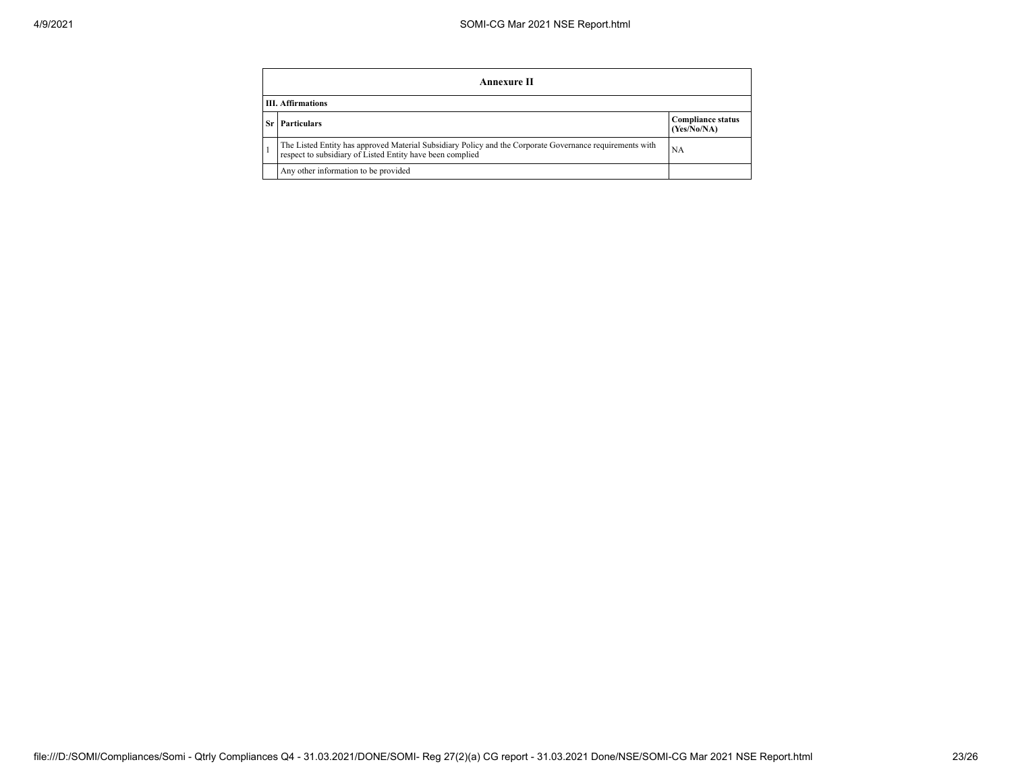|      | Annexure II                                                                                                                                                           |                                         |  |  |  |  |
|------|-----------------------------------------------------------------------------------------------------------------------------------------------------------------------|-----------------------------------------|--|--|--|--|
|      | <b>III.</b> Affirmations                                                                                                                                              |                                         |  |  |  |  |
| Sr I | <b>Particulars</b>                                                                                                                                                    | <b>Compliance status</b><br>(Yes/No/NA) |  |  |  |  |
|      | The Listed Entity has approved Material Subsidiary Policy and the Corporate Governance requirements with<br>respect to subsidiary of Listed Entity have been complied | NA                                      |  |  |  |  |
|      | Any other information to be provided                                                                                                                                  |                                         |  |  |  |  |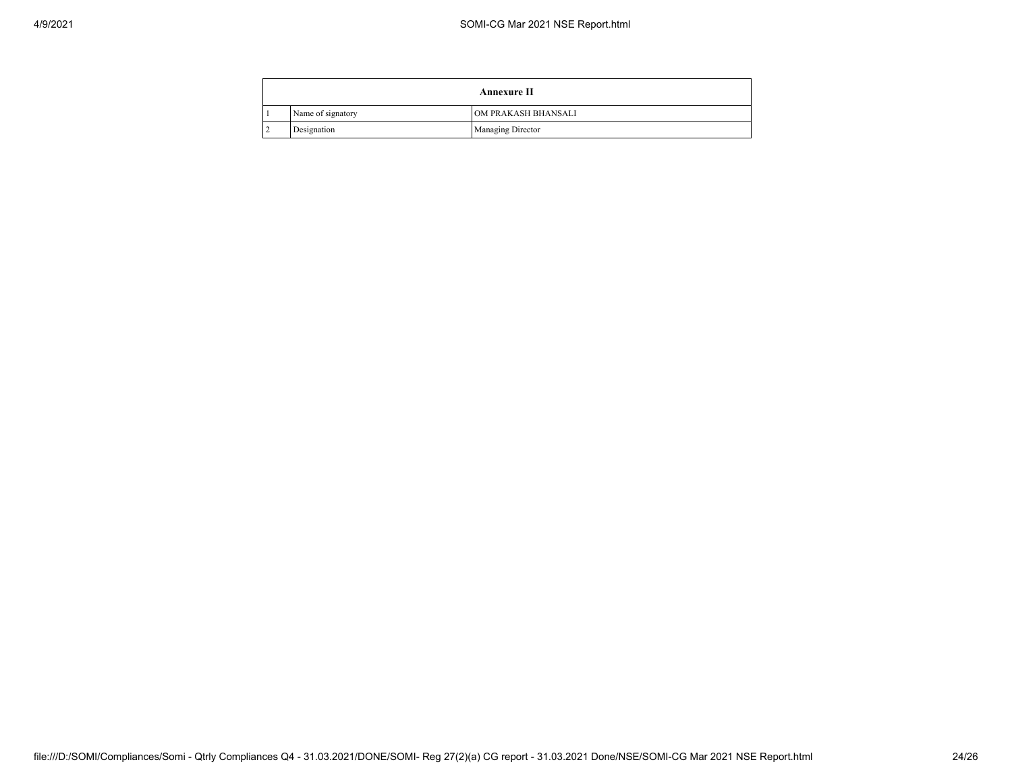$\overline{a}$ 

|   | <b>Annexure II</b> |                          |  |  |
|---|--------------------|--------------------------|--|--|
|   | Name of signatory  | OM PRAKASH BHANSALI      |  |  |
| ∸ | Designation        | <b>Managing Director</b> |  |  |